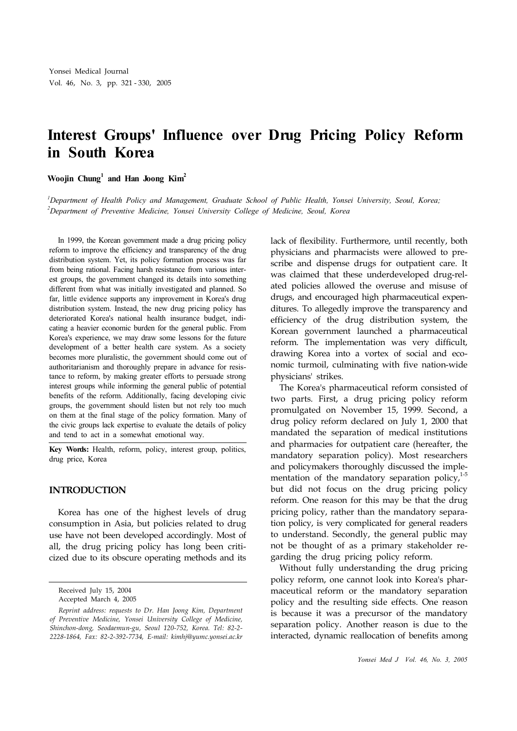# **Interest Groups' Influence over Drug Pricing Policy Reform in South Korea**

**Woojin Chung 1 and Han Joong Kim 2**

*<sup>1</sup>Department of Health Policy and Management, Graduate School of Public Health, Yonsei University, Seoul, Korea; <sup>2</sup>Department of Preventive Medicine, Yonsei University College of Medicine, Seoul, Korea*

In 1999, the Korean government made a drug pricing policy reform to improve the efficiency and transparency of the drug distribution system. Yet, its policy formation process was far from being rational. Facing harsh resistance from various interest groups, the government changed its details into something different from what was initially investigated and planned. So far, little evidence supports any improvement in Korea's drug distribution system. Instead, the new drug pricing policy has deteriorated Korea's national health insurance budget, indicating a heavier economic burden for the general public. From Korea's experience, we may draw some lessons for the future development of a better health care system. As a society becomes more pluralistic, the government should come out of authoritarianism and thoroughly prepare in advance for resistance to reform, by making greater efforts to persuade strong interest groups while informing the general public of potential benefits of the reform. Additionally, facing developing civic groups, the government should listen but not rely too much on them at the final stage of the policy formation. Many of the civic groups lack expertise to evaluate the details of policy and tend to act in a somewhat emotional way.

**Key Words:** Health, reform, policy, interest group, politics, drug price, Korea

# **INTRODUCTION**

Korea has one of the highest levels of drug consumption in Asia, but policies related to drug use have not been developed accordingly. Most of all, the drug pricing policy has long been criticized due to its obscure operating methods and its

lack of flexibility. Furthermore, until recently, both physicians and pharmacists were allowed to prescribe and dispense drugs for outpatient care. It was claimed that these underdeveloped drug-related policies allowed the overuse and misuse of drugs, and encouraged high pharmaceutical expenditures. To allegedly improve the transparency and efficiency of the drug distribution system, the Korean government launched a pharmaceutical reform. The implementation was very difficult, drawing Korea into a vortex of social and economic turmoil, culminating with five nation-wide physicians' strikes.

The Korea's pharmaceutical reform consisted of two parts. First, a drug pricing policy reform promulgated on November 15, 1999. Second, a drug policy reform declared on July 1, 2000 that mandated the separation of medical institutions and pharmacies for outpatient care (hereafter, the mandatory separation policy). Most researchers and policymakers thoroughly discussed the implementation of the mandatory separation policy, $1-5$ but did not focus on the drug pricing policy reform. One reason for this may be that the drug pricing policy, rather than the mandatory separation policy, is very complicated for general readers to understand. Secondly, the general public may not be thought of as a primary stakeholder regarding the drug pricing policy reform.

Without fully understanding the drug pricing policy reform, one cannot look into Korea's pharmaceutical reform or the mandatory separation policy and the resulting side effects. One reason is because it was a precursor of the mandatory separation policy. Another reason is due to the interacted, dynamic reallocation of benefits among

Received July 15, 2004

Accepted March 4, 2005

*Reprint address: requests to Dr. Han Joong Kim, Department of Preventive Medicine, Yonsei University College of Medicine, Shinchon-dong, Seodaemun-gu, Seoul 120-752, Korea. Tel: 82-2- 2228-1864, Fax: 82-2-392-7734, E-mail: kimhj@yumc.yonsei.ac.kr*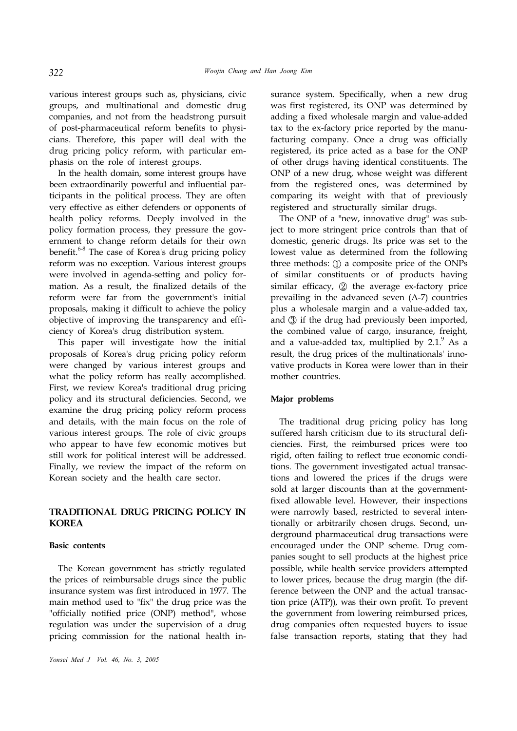various interest groups such as, physicians, civic groups, and multinational and domestic drug companies, and not from the headstrong pursuit of post-pharmaceutical reform benefits to physicians. Therefore, this paper will deal with the drug pricing policy reform, with particular emphasis on the role of interest groups.

In the health domain, some interest groups have been extraordinarily powerful and influential participants in the political process. They are often very effective as either defenders or opponents of health policy reforms. Deeply involved in the policy formation process, they pressure the government to change reform details for their own benefit.<sup>6-8</sup> The case of Korea's drug pricing policy reform was no exception. Various interest groups were involved in agenda-setting and policy formation. As a result, the finalized details of the reform were far from the government's initial proposals, making it difficult to achieve the policy objective of improving the transparency and efficiency of Korea's drug distribution system.

This paper will investigate how the initial proposals of Korea's drug pricing policy reform were changed by various interest groups and what the policy reform has really accomplished. First, we review Korea's traditional drug pricing policy and its structural deficiencies. Second, we examine the drug pricing policy reform process and details, with the main focus on the role of various interest groups. The role of civic groups who appear to have few economic motives but still work for political interest will be addressed. Finally, we review the impact of the reform on Korean society and the health care sector.

# **TRADITIONAL DRUG PRICING POLICY IN KOREA**

#### **Basic contents**

The Korean government has strictly regulated the prices of reimbursable drugs since the public insurance system was first introduced in 1977. The main method used to "fix" the drug price was the "officially notified price (ONP) method", whose regulation was under the supervision of a drug pricing commission for the national health insurance system. Specifically, when a new drug was first registered, its ONP was determined by adding a fixed wholesale margin and value-added tax to the ex-factory price reported by the manufacturing company. Once a drug was officially registered, its price acted as a base for the ONP of other drugs having identical constituents. The ONP of a new drug, whose weight was different from the registered ones, was determined by comparing its weight with that of previously registered and structurally similar drugs.

The ONP of a "new, innovative drug" was subject to more stringent price controls than that of domestic, generic drugs. Its price was set to the lowest value as determined from the following three methods: (1) a composite price of the ONPs of similar constituents or of products having similar efficacy,  $\oslash$  the average ex-factory price prevailing in the advanced seven (A-7) countries plus a wholesale margin and a value-added tax, and  $(3)$  if the drug had previously been imported, the combined value of cargo, insurance, freight, and a value-added tax, multiplied by  $2.1$ <sup>9</sup> As a result, the drug prices of the multinationals' innovative products in Korea were lower than in their mother countries.

#### **Major problems**

The traditional drug pricing policy has long suffered harsh criticism due to its structural deficiencies. First, the reimbursed prices were too rigid, often failing to reflect true economic conditions. The government investigated actual transactions and lowered the prices if the drugs were sold at larger discounts than at the governmentfixed allowable level. However, their inspections were narrowly based, restricted to several intentionally or arbitrarily chosen drugs. Second, underground pharmaceutical drug transactions were encouraged under the ONP scheme. Drug companies sought to sell products at the highest price possible, while health service providers attempted to lower prices, because the drug margin (the difference between the ONP and the actual transaction price (ATP)), was their own profit. To prevent the government from lowering reimbursed prices, drug companies often requested buyers to issue false transaction reports, stating that they had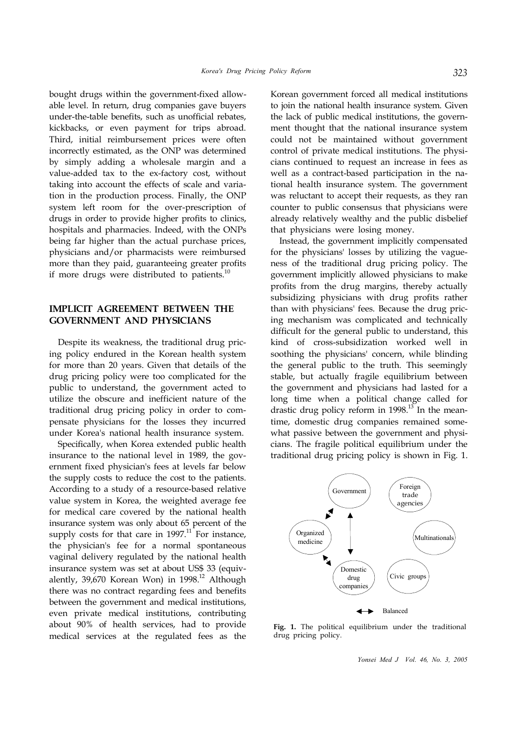bought drugs within the government-fixed allowable level. In return, drug companies gave buyers under-the-table benefits, such as unofficial rebates, kickbacks, or even payment for trips abroad. Third, initial reimbursement prices were often incorrectly estimated, as the ONP was determined by simply adding a wholesale margin and a value-added tax to the ex-factory cost, without taking into account the effects of scale and variation in the production process. Finally, the ONP system left room for the over-prescription of drugs in order to provide higher profits to clinics, hospitals and pharmacies. Indeed, with the ONPs being far higher than the actual purchase prices, physicians and/or pharmacists were reimbursed more than they paid, guaranteeing greater profits if more drugs were distributed to patients.<sup>10</sup>

# **IMPLICIT AGREEMENT BETWEEN THE GOVERNMENT AND PHYSICIANS**

Despite its weakness, the traditional drug pricing policy endured in the Korean health system for more than 20 years. Given that details of the drug pricing policy were too complicated for the public to understand, the government acted to utilize the obscure and inefficient nature of the traditional drug pricing policy in order to compensate physicians for the losses they incurred under Korea's national health insurance system.

Specifically, when Korea extended public health insurance to the national level in 1989, the government fixed physician's fees at levels far below the supply costs to reduce the cost to the patients. According to a study of a resource-based relative value system in Korea, the weighted average fee for medical care covered by the national health insurance system was only about 65 percent of the supply costs for that care in  $1997$ .<sup>11</sup> For instance, the physician's fee for a normal spontaneous vaginal delivery regulated by the national health insurance system was set at about US\$ 33 (equivalently, 39,670 Korean Won) in 1998.<sup>12</sup> Although there was no contract regarding fees and benefits between the government and medical institutions, even private medical institutions, contributing about 90% of health services, had to provide medical services at the regulated fees as the

Korean government forced all medical institutions to join the national health insurance system. Given the lack of public medical institutions, the government thought that the national insurance system could not be maintained without government control of private medical institutions. The physicians continued to request an increase in fees as well as a contract-based participation in the national health insurance system. The government was reluctant to accept their requests, as they ran counter to public consensus that physicians were already relatively wealthy and the public disbelief that physicians were losing money.

Instead, the government implicitly compensated for the physicians' losses by utilizing the vagueness of the traditional drug pricing policy. The government implicitly allowed physicians to make profits from the drug margins, thereby actually subsidizing physicians with drug profits rather than with physicians' fees. Because the drug pricing mechanism was complicated and technically difficult for the general public to understand, this kind of cross-subsidization worked well in soothing the physicians' concern, while blinding the general public to the truth. This seemingly stable, but actually fragile equilibrium between the government and physicians had lasted for a long time when a political change called for drastic drug policy reform in  $1998$ .<sup>13</sup> In the meantime, domestic drug companies remained somewhat passive between the government and physicians. The fragile political equilibrium under the traditional drug pricing policy is shown in Fig. 1.



**Fig. 1.** The political equilibrium under the traditional drug pricing policy.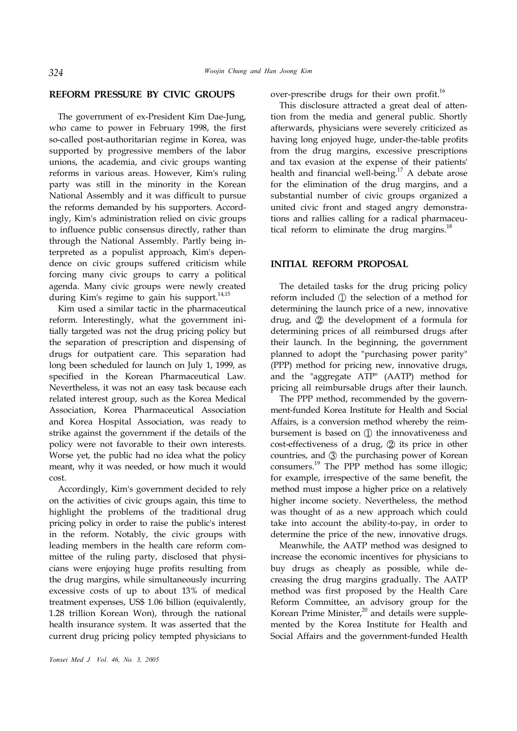#### **REFORM PRESSURE BY CIVIC GROUPS**

The government of ex-President Kim Dae-Jung, who came to power in February 1998, the first so-called post-authoritarian regime in Korea, was supported by progressive members of the labor unions, the academia, and civic groups wanting reforms in various areas. However, Kim's ruling party was still in the minority in the Korean National Assembly and it was difficult to pursue the reforms demanded by his supporters. Accordingly, Kim's administration relied on civic groups to influence public consensus directly, rather than through the National Assembly. Partly being interpreted as a populist approach, Kim's dependence on civic groups suffered criticism while forcing many civic groups to carry a political agenda. Many civic groups were newly created during Kim's regime to gain his support.<sup>14,15</sup>

Kim used a similar tactic in the pharmaceutical reform. Interestingly, what the government initially targeted was not the drug pricing policy but the separation of prescription and dispensing of drugs for outpatient care. This separation had long been scheduled for launch on July 1, 1999, as specified in the Korean Pharmaceutical Law. Nevertheless, it was not an easy task because each related interest group, such as the Korea Medical Association, Korea Pharmaceutical Association and Korea Hospital Association, was ready to strike against the government if the details of the policy were not favorable to their own interests. Worse yet, the public had no idea what the policy meant, why it was needed, or how much it would cost.

Accordingly, Kim's government decided to rely on the activities of civic groups again, this time to highlight the problems of the traditional drug pricing policy in order to raise the public's interest in the reform. Notably, the civic groups with leading members in the health care reform committee of the ruling party, disclosed that physicians were enjoying huge profits resulting from the drug margins, while simultaneously incurring excessive costs of up to about 13% of medical treatment expenses, US\$ 1.06 billion (equivalently, 1.28 trillion Korean Won), through the national health insurance system. It was asserted that the current drug pricing policy tempted physicians to over-prescribe drugs for their own profit.<sup>16</sup>

This disclosure attracted a great deal of attention from the media and general public. Shortly afterwards, physicians were severely criticized as having long enjoyed huge, under-the-table profits from the drug margins, excessive prescriptions and tax evasion at the expense of their patients' health and financial well-being.<sup>17</sup> A debate arose for the elimination of the drug margins, and a substantial number of civic groups organized a united civic front and staged angry demonstrations and rallies calling for a radical pharmaceutical reform to eliminate the drug margins. $^{18}$ 

## **INITIAL REFORM PROPOSAL**

The detailed tasks for the drug pricing policy reform included (1) the selection of a method for determining the launch price of a new, innovative drug, and  $(2)$  the development of a formula for determining prices of all reimbursed drugs after their launch. In the beginning, the government planned to adopt the "purchasing power parity" (PPP) method for pricing new, innovative drugs, and the "aggregate ATP" (AATP) method for pricing all reimbursable drugs after their launch.

The PPP method, recommended by the government-funded Korea Institute for Health and Social Affairs, is a conversion method whereby the reimbursement is based on  $(1)$  the innovativeness and cost-effectiveness of a drug,  $(2)$  its price in other countries, and  $\ddot{3}$  the purchasing power of Korean consumers. 19 The PPP method has some illogic; for example, irrespective of the same benefit, the method must impose a higher price on a relatively higher income society. Nevertheless, the method was thought of as a new approach which could take into account the ability-to-pay, in order to determine the price of the new, innovative drugs.

Meanwhile, the AATP method was designed to increase the economic incentives for physicians to buy drugs as cheaply as possible, while decreasing the drug margins gradually. The AATP method was first proposed by the Health Care Reform Committee, an advisory group for the Korean Prime Minister,<sup>20</sup> and details were supplemented by the Korea Institute for Health and Social Affairs and the government-funded Health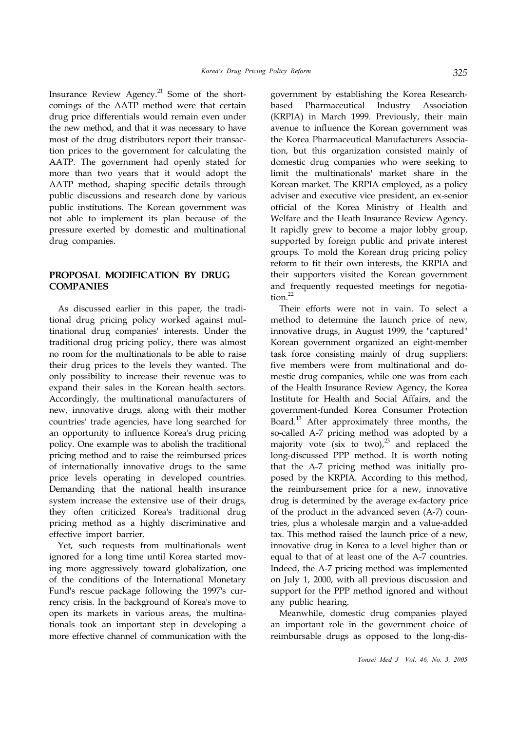Insurance Review Agency.<sup>21</sup> Some of the shortcomings of the AATP method were that certain drug price differentials would remain even under the new method, and that it was necessary to have most of the drug distributors report their transaction prices to the government for calculating the AATP. The government had openly stated for more than two years that it would adopt the AATP method, shaping specific details through public discussions and research done by various public institutions. The Korean government was not able to implement its plan because of the pressure exerted by domestic and multinational drug companies.

# **PROPOSAL MODIFICATION BY DRUG COMPANIES**

As discussed earlier in this paper, the traditional drug pricing policy worked against multinational drug companies' interests. Under the traditional drug pricing policy, there was almost no room for the multinationals to be able to raise their drug prices to the levels they wanted. The only possibility to increase their revenue was to expand their sales in the Korean health sectors. Accordingly, the multinational manufacturers of new, innovative drugs, along with their mother countries' trade agencies, have long searched for an opportunity to influence Korea's drug pricing policy. One example was to abolish the traditional pricing method and to raise the reimbursed prices of internationally innovative drugs to the same price levels operating in developed countries. Demanding that the national health insurance system increase the extensive use of their drugs, they often criticized Korea's traditional drug pricing method as a highly discriminative and effective import barrier.

Yet, such requests from multinationals went ignored for a long time until Korea started moving more aggressively toward globalization, one of the conditions of the International Monetary Fund's rescue package following the 1997's currency crisis. In the background of Korea's move to open its markets in various areas, the multinationals took an important step in developing a more effective channel of communication with the

government by establishing the Korea Researchbased Pharmaceutical Industry Association (KRPIA) in March 1999. Previously, their main avenue to influence the Korean government was the Korea Pharmaceutical Manufacturers Association, but this organization consisted mainly of domestic drug companies who were seeking to limit the multinationals' market share in the Korean market. The KRPIA employed, as a policy adviser and executive vice president, an ex-senior official of the Korea Ministry of Health and Welfare and the Heath Insurance Review Agency. It rapidly grew to become a major lobby group, supported by foreign public and private interest groups. To mold the Korean drug pricing policy reform to fit their own interests, the KRPIA and their supporters visited the Korean government and frequently requested meetings for negotiation. 22

Their efforts were not in vain. To select a method to determine the launch price of new, innovative drugs, in August 1999, the "captured" Korean government organized an eight-member task force consisting mainly of drug suppliers: five members were from multinational and domestic drug companies, while one was from each of the Health Insurance Review Agency, the Korea Institute for Health and Social Affairs, and the government-funded Korea Consumer Protection Board.<sup>13</sup> After approximately three months, the so-called A-7 pricing method was adopted by a majority vote (six to two), $^{23}$  and replaced the long-discussed PPP method. It is worth noting that the A-7 pricing method was initially proposed by the KRPIA. According to this method, the reimbursement price for a new, innovative drug is determined by the average ex-factory price of the product in the advanced seven (A-7) countries, plus a wholesale margin and a value-added tax. This method raised the launch price of a new, innovative drug in Korea to a level higher than or equal to that of at least one of the A-7 countries. Indeed, the A-7 pricing method was implemented on July 1, 2000, with all previous discussion and support for the PPP method ignored and without any public hearing.

Meanwhile, domestic drug companies played an important role in the government choice of reimbursable drugs as opposed to the long-dis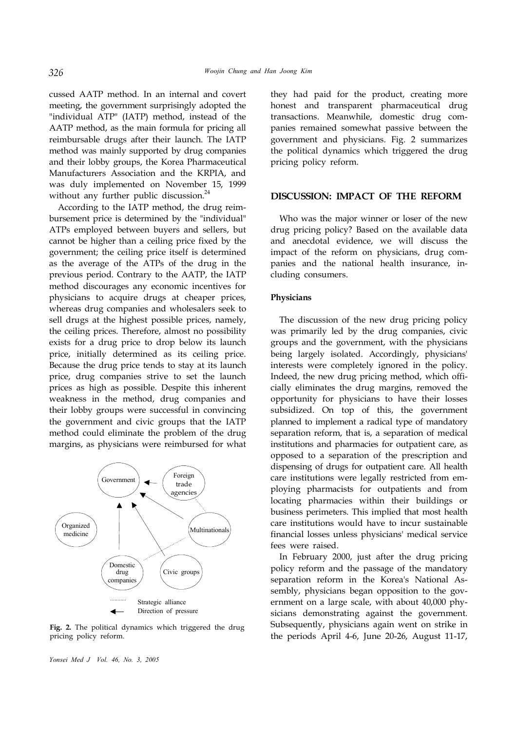cussed AATP method. In an internal and covert meeting, the government surprisingly adopted the "individual ATP" (IATP) method, instead of the AATP method, as the main formula for pricing all reimbursable drugs after their launch. The IATP method was mainly supported by drug companies and their lobby groups, the Korea Pharmaceutical Manufacturers Association and the KRPIA, and was duly implemented on November 15, 1999 without any further public discussion.<sup>24</sup>

According to the IATP method, the drug reimbursement price is determined by the "individual" ATPs employed between buyers and sellers, but cannot be higher than a ceiling price fixed by the government; the ceiling price itself is determined as the average of the ATPs of the drug in the previous period. Contrary to the AATP, the IATP method discourages any economic incentives for physicians to acquire drugs at cheaper prices, whereas drug companies and wholesalers seek to sell drugs at the highest possible prices, namely, the ceiling prices. Therefore, almost no possibility exists for a drug price to drop below its launch price, initially determined as its ceiling price. Because the drug price tends to stay at its launch price, drug companies strive to set the launch prices as high as possible. Despite this inherent weakness in the method, drug companies and their lobby groups were successful in convincing the government and civic groups that the IATP method could eliminate the problem of the drug margins, as physicians were reimbursed for what



**Fig. 2.** The political dynamics which triggered the drug pricing policy reform.

*Yonsei Med J Vol. 46, No. 3, 2005*

they had paid for the product, creating more honest and transparent pharmaceutical drug transactions. Meanwhile, domestic drug companies remained somewhat passive between the government and physicians. Fig. 2 summarizes the political dynamics which triggered the drug pricing policy reform.

# **DISCUSSION: IMPACT OF THE REFORM**

Who was the major winner or loser of the new drug pricing policy? Based on the available data and anecdotal evidence, we will discuss the impact of the reform on physicians, drug companies and the national health insurance, including consumers.

#### **Physicians**

The discussion of the new drug pricing policy was primarily led by the drug companies, civic groups and the government, with the physicians being largely isolated. Accordingly, physicians' interests were completely ignored in the policy. Indeed, the new drug pricing method, which officially eliminates the drug margins, removed the opportunity for physicians to have their losses subsidized. On top of this, the government planned to implement a radical type of mandatory separation reform, that is, a separation of medical institutions and pharmacies for outpatient care, as opposed to a separation of the prescription and dispensing of drugs for outpatient care. All health care institutions were legally restricted from employing pharmacists for outpatients and from locating pharmacies within their buildings or business perimeters. This implied that most health care institutions would have to incur sustainable financial losses unless physicians' medical service fees were raised.

In February 2000, just after the drug pricing policy reform and the passage of the mandatory separation reform in the Korea's National Assembly, physicians began opposition to the government on a large scale, with about 40,000 physicians demonstrating against the government. Subsequently, physicians again went on strike in the periods April 4-6, June 20-26, August 11-17,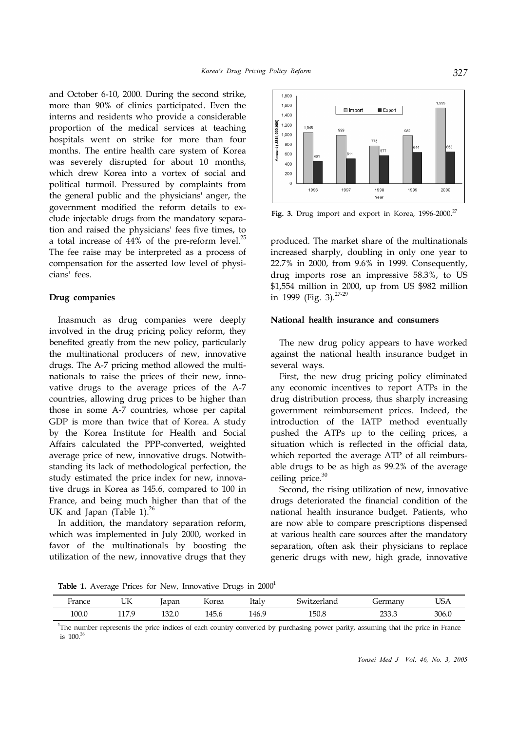and October 6-10, 2000. During the second strike, more than 90% of clinics participated. Even the interns and residents who provide a considerable proportion of the medical services at teaching hospitals went on strike for more than four months. The entire health care system of Korea was severely disrupted for about 10 months, which drew Korea into a vortex of social and political turmoil. Pressured by complaints from the general public and the physicians' anger, the government modified the reform details to exclude injectable drugs from the mandatory separation and raised the physicians' fees five times, to a total increase of  $44\%$  of the pre-reform level.<sup>25</sup> The fee raise may be interpreted as a process of compensation for the asserted low level of physicians' fees.

#### **Drug companies**

Inasmuch as drug companies were deeply involved in the drug pricing policy reform, they benefited greatly from the new policy, particularly the multinational producers of new, innovative drugs. The A-7 pricing method allowed the multinationals to raise the prices of their new, innovative drugs to the average prices of the A-7 countries, allowing drug prices to be higher than those in some A-7 countries, whose per capital GDP is more than twice that of Korea. A study by the Korea Institute for Health and Social Affairs calculated the PPP-converted, weighted average price of new, innovative drugs. Notwithstanding its lack of methodological perfection, the study estimated the price index for new, innovative drugs in Korea as 145.6, compared to 100 in France, and being much higher than that of the UK and Japan (Table 1). $^{26}$ 

In addition, the mandatory separation reform, which was implemented in July 2000, worked in favor of the multinationals by boosting the utilization of the new, innovative drugs that they



Fig. 3. Drug import and export in Korea, 1996-2000.<sup>27</sup>

produced. The market share of the multinationals increased sharply, doubling in only one year to 22.7% in 2000, from 9.6% in 1999. Consequently, drug imports rose an impressive 58.3%, to US \$1,554 million in 2000, up from US \$982 million in 1999 (Fig. 3). 27-29

#### **National health insurance and consumers**

The new drug policy appears to have worked against the national health insurance budget in several ways.

First, the new drug pricing policy eliminated any economic incentives to report ATPs in the drug distribution process, thus sharply increasing government reimbursement prices. Indeed, the introduction of the IATP method eventually pushed the ATPs up to the ceiling prices, a situation which is reflected in the official data, which reported the average ATP of all reimbursable drugs to be as high as 99.2% of the average ceiling price. 30

Second, the rising utilization of new, innovative drugs deteriorated the financial condition of the national health insurance budget. Patients, who are now able to compare prescriptions dispensed at various health care sources after the mandatory separation, often ask their physicians to replace generic drugs with new, high grade, innovative

Table 1. Average Prices for New, Innovative Drugs in 2000<sup>1</sup>

| -<br>rance: | T T<br>৴∸                            | ັກan          | $\sim$ $\sim$<br>orea | ıtalv           |                    | ınv              | TC <sup></sup> |
|-------------|--------------------------------------|---------------|-----------------------|-----------------|--------------------|------------------|----------------|
| 100.0       | $\rightarrow$ $\rightarrow$<br>_____ | $\sim$<br>___ | $\epsilon$<br>__      | 46<br>$\ddotsc$ | ำเ<br>$\cdot$ JU.u | $\cap$<br>$\sim$ | 306            |

<sup>1</sup>The number represents the price indices of each country converted by purchasing power parity, assuming that the price in France is  $100^{26}$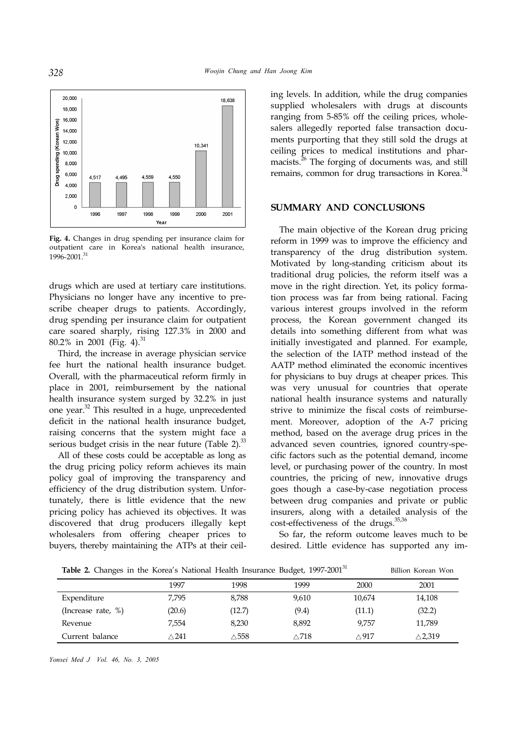

**Fig. 4.** Changes in drug spending per insurance claim for outpatient care in Korea's national health insurance, 1996-2001. 31

drugs which are used at tertiary care institutions. Physicians no longer have any incentive to prescribe cheaper drugs to patients. Accordingly, drug spending per insurance claim for outpatient care soared sharply, rising 127.3% in 2000 and  $80.2\%$  in 2001 (Fig. 4). $^{31}$ 

Third, the increase in average physician service fee hurt the national health insurance budget. Overall, with the pharmaceutical reform firmly in place in 2001, reimbursement by the national health insurance system surged by 32.2% in just one year.<sup>32</sup> This resulted in a huge, unprecedented deficit in the national health insurance budget, raising concerns that the system might face a serious budget crisis in the near future (Table 2).<sup>33</sup>

All of these costs could be acceptable as long as the drug pricing policy reform achieves its main policy goal of improving the transparency and efficiency of the drug distribution system. Unfortunately, there is little evidence that the new pricing policy has achieved its objectives. It was discovered that drug producers illegally kept wholesalers from offering cheaper prices to buyers, thereby maintaining the ATPs at their ceiling levels. In addition, while the drug companies supplied wholesalers with drugs at discounts ranging from 5-85% off the ceiling prices, wholesalers allegedly reported false transaction documents purporting that they still sold the drugs at ceiling prices to medical institutions and pharmacists. 26 The forging of documents was, and still remains, common for drug transactions in Korea.<sup>34</sup>

# **SUMMARY AND CONCLUSIONS**

The main objective of the Korean drug pricing reform in 1999 was to improve the efficiency and transparency of the drug distribution system. Motivated by long-standing criticism about its traditional drug policies, the reform itself was a move in the right direction. Yet, its policy formation process was far from being rational. Facing various interest groups involved in the reform process, the Korean government changed its details into something different from what was initially investigated and planned. For example, the selection of the IATP method instead of the AATP method eliminated the economic incentives for physicians to buy drugs at cheaper prices. This was very unusual for countries that operate national health insurance systems and naturally strive to minimize the fiscal costs of reimbursement. Moreover, adoption of the A-7 pricing method, based on the average drug prices in the advanced seven countries, ignored country-specific factors such as the potential demand, income level, or purchasing power of the country. In most countries, the pricing of new, innovative drugs goes though a case-by-case negotiation process between drug companies and private or public insurers, along with a detailed analysis of the cost-effectiveness of the drugs.<sup>35,36</sup>

So far, the reform outcome leaves much to be desired. Little evidence has supported any im-

| <b>TWEE</b> = Changes in the risted s'indicated ricature modified bauges 1997 2001 | $P_{\text{H}}$ |                 |                   |              |                   |
|------------------------------------------------------------------------------------|----------------|-----------------|-------------------|--------------|-------------------|
|                                                                                    | 1997           | 1998            | 1999              | 2000         | 2001              |
| Expenditure                                                                        | 7.795          | 8,788           | 9,610             | 10,674       | 14,108            |
| (Increase rate, %)                                                                 | (20.6)         | (12.7)          | (9.4)             | (11.1)       | (32.2)            |
| Revenue                                                                            | 7.554          | 8,230           | 8,892             | 9,757        | 11,789            |
| Current balance                                                                    | $\wedge 241$   | $\triangle 558$ | $\vartriangle718$ | $\wedge$ 917 | $\triangle$ 2,319 |

Table 2. Changes in the Korea's National Health Insurance Budget, 1997-2001<sup>31</sup> Billion Korean Won

*Yonsei Med J Vol. 46, No. 3, 2005*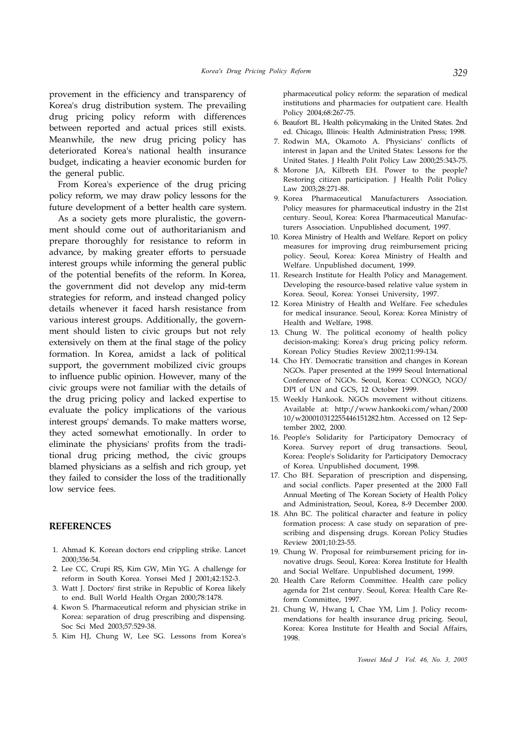provement in the efficiency and transparency of Korea's drug distribution system. The prevailing drug pricing policy reform with differences between reported and actual prices still exists. Meanwhile, the new drug pricing policy has deteriorated Korea's national health insurance budget, indicating a heavier economic burden for the general public.

From Korea's experience of the drug pricing policy reform, we may draw policy lessons for the future development of a better health care system.

As a society gets more pluralistic, the government should come out of authoritarianism and prepare thoroughly for resistance to reform in advance, by making greater efforts to persuade interest groups while informing the general public of the potential benefits of the reform. In Korea, the government did not develop any mid-term strategies for reform, and instead changed policy details whenever it faced harsh resistance from various interest groups. Additionally, the government should listen to civic groups but not rely extensively on them at the final stage of the policy formation. In Korea, amidst a lack of political support, the government mobilized civic groups to influence public opinion. However, many of the civic groups were not familiar with the details of the drug pricing policy and lacked expertise to evaluate the policy implications of the various interest groups' demands. To make matters worse, they acted somewhat emotionally. In order to eliminate the physicians' profits from the traditional drug pricing method, the civic groups blamed physicians as a selfish and rich group, yet they failed to consider the loss of the traditionally low service fees.

## **REFERENCES**

- 1. Ahmad K. Korean doctors end crippling strike. Lancet 2000;356:54.
- 2. Lee CC, Crupi RS, Kim GW, Min YG. A challenge for reform in South Korea. Yonsei Med J 2001;42:152-3.
- 3. Watt J. Doctors' first strike in Republic of Korea likely to end. Bull World Health Organ 2000;78:1478.
- 4. Kwon S. Pharmaceutical reform and physician strike in Korea: separation of drug prescribing and dispensing. Soc Sci Med 2003;57:529-38.
- 5. Kim HJ, Chung W, Lee SG. Lessons from Korea's

pharmaceutical policy reform: the separation of medical institutions and pharmacies for outpatient care. Health Policy 2004;68:267-75.

- 6. Beaufort BL. Health policymaking in the United States. 2nd ed. Chicago, Illinois: Health Administration Press; 1998.
- 7. Rodwin MA, Okamoto A. Physicians' conflicts of interest in Japan and the United States: Lessons for the United States. J Health Polit Policy Law 2000;25:343-75.
- 8. Morone JA, Kilbreth EH. Power to the people? Restoring citizen participation. J Health Polit Policy Law 2003;28:271-88.
- 9. Korea Pharmaceutical Manufacturers Association. Policy measures for pharmaceutical industry in the 21st century. Seoul, Korea: Korea Pharmaceutical Manufacturers Association. Unpublished document, 1997.
- 10. Korea Ministry of Health and Welfare. Report on policy measures for improving drug reimbursement pricing policy. Seoul, Korea: Korea Ministry of Health and Welfare. Unpublished document, 1999.
- 11. Research Institute for Health Policy and Management. Developing the resource-based relative value system in Korea. Seoul, Korea: Yonsei University, 1997.
- 12. Korea Ministry of Health and Welfare. Fee schedules for medical insurance. Seoul, Korea: Korea Ministry of Health and Welfare, 1998.
- 13. Chung W. The political economy of health policy decision-making: Korea's drug pricing policy reform. Korean Policy Studies Review 2002;11:99-134.
- 14. Cho HY. Democratic transition and changes in Korean NGOs. Paper presented at the 1999 Seoul International Conference of NGOs. Seoul, Korea: CONGO, NGO/ DPI of UN and GCS, 12 October 1999.
- 15. Weekly Hankook. NGOs movement without citizens. Available at: http://www.hankooki.com/whan/2000 10/w200010312255446151282.htm. Accessed on 12 September 2002, 2000.
- 16. People's Solidarity for Participatory Democracy of Korea. Survey report of drug transactions. Seoul, Korea: People's Solidarity for Participatory Democracy of Korea. Unpublished document, 1998.
- 17. Cho BH. Separation of prescription and dispensing, and social conflicts. Paper presented at the 2000 Fall Annual Meeting of The Korean Society of Health Policy and Administration, Seoul, Korea, 8-9 December 2000.
- 18. Ahn BC. The political character and feature in policy formation process: A case study on separation of prescribing and dispensing drugs. Korean Policy Studies Review 2001;10:23-55.
- 19. Chung W. Proposal for reimbursement pricing for innovative drugs. Seoul, Korea: Korea Institute for Health and Social Welfare. Unpublished document, 1999.
- 20. Health Care Reform Committee. Health care policy agenda for 21st century. Seoul, Korea: Health Care Reform Committee, 1997.
- 21. Chung W, Hwang I, Chae YM, Lim J. Policy recommendations for health insurance drug pricing. Seoul, Korea: Korea Institute for Health and Social Affairs, 1998.